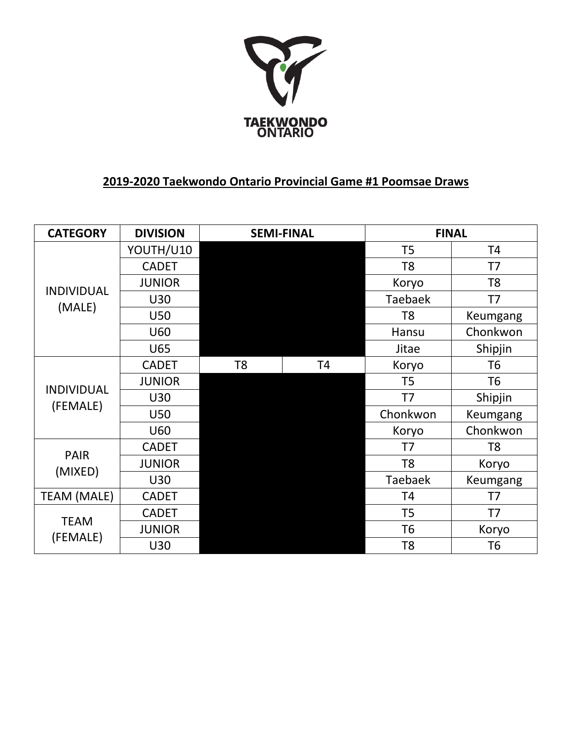

## **2019-2020 Taekwondo Ontario Provincial Game #1 Poomsae Draws**

| <b>CATEGORY</b>               | <b>DIVISION</b> | <b>SEMI-FINAL</b> |                | <b>FINAL</b>   |                |
|-------------------------------|-----------------|-------------------|----------------|----------------|----------------|
| <b>INDIVIDUAL</b><br>(MALE)   | YOUTH/U10       |                   |                | T <sub>5</sub> | T <sub>4</sub> |
|                               | <b>CADET</b>    |                   |                | T <sub>8</sub> | T7             |
|                               | <b>JUNIOR</b>   |                   |                | Koryo          | T <sub>8</sub> |
|                               | U30             |                   |                | <b>Taebaek</b> | T7             |
|                               | <b>U50</b>      |                   |                | T <sub>8</sub> | Keumgang       |
|                               | U60             |                   |                | Hansu          | Chonkwon       |
|                               | U65             |                   |                | Jitae          | Shipjin        |
| <b>INDIVIDUAL</b><br>(FEMALE) | <b>CADET</b>    | T <sub>8</sub>    | T <sub>4</sub> | Koryo          | T <sub>6</sub> |
|                               | <b>JUNIOR</b>   |                   |                | T <sub>5</sub> | T <sub>6</sub> |
|                               | U30             |                   |                | T7             | Shipjin        |
|                               | U50             |                   |                | Chonkwon       | Keumgang       |
|                               | U60             |                   |                | Koryo          | Chonkwon       |
| <b>PAIR</b><br>(MIXED)        | <b>CADET</b>    |                   |                | T7             | T <sub>8</sub> |
|                               | <b>JUNIOR</b>   |                   |                | T <sub>8</sub> | Koryo          |
|                               | U30             |                   |                | <b>Taebaek</b> | Keumgang       |
| <b>TEAM (MALE)</b>            | <b>CADET</b>    |                   |                | <b>T4</b>      | T7             |
| <b>TEAM</b><br>(FEMALE)       | <b>CADET</b>    |                   |                | T <sub>5</sub> | T7             |
|                               | <b>JUNIOR</b>   |                   |                | T <sub>6</sub> | Koryo          |
|                               | U30             |                   |                | T <sub>8</sub> | T6             |